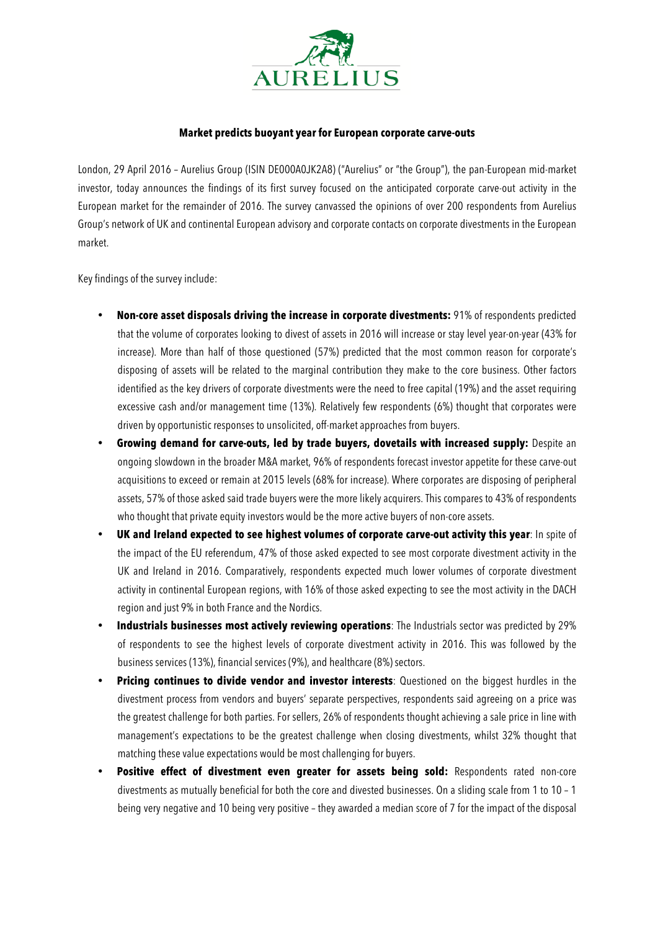

## **Market predicts buoyant year for European corporate carve-outs**

London, 29 April 2016 – Aurelius Group (ISIN DE000A0JK2A8) ("Aurelius" or "the Group"), the pan-European mid-market investor, today announces the findings of its first survey focused on the anticipated corporate carve-out activity in the European market for the remainder of 2016. The survey canvassed the opinions of over 200 respondents from Aurelius Group's network of UK and continental European advisory and corporate contacts on corporate divestments in the European market.

Key findings of the survey include:

- **Non-core asset disposals driving the increase in corporate divestments:** 91% of respondents predicted that the volume of corporates looking to divest of assets in 2016 will increase or stay level year-on-year (43% for increase). More than half of those questioned (57%) predicted that the most common reason for corporate's disposing of assets will be related to the marginal contribution they make to the core business. Other factors identified as the key drivers of corporate divestments were the need to free capital (19%) and the asset requiring excessive cash and/or management time (13%). Relatively few respondents (6%) thought that corporates were driven by opportunistic responses to unsolicited, off-market approaches from buyers.
- **Growing demand for carve-outs, led by trade buyers, dovetails with increased supply:** Despite an ongoing slowdown in the broader M&A market, 96% of respondents forecast investor appetite for these carve-out acquisitions to exceed or remain at 2015 levels (68% for increase). Where corporates are disposing of peripheral assets, 57% of those asked said trade buyers were the more likely acquirers. This compares to 43% of respondents who thought that private equity investors would be the more active buyers of non-core assets.
- **UK and Ireland expected to see highest volumes of corporate carve-out activity this year**: In spite of the impact of the EU referendum, 47% of those asked expected to see most corporate divestment activity in the UK and Ireland in 2016. Comparatively, respondents expected much lower volumes of corporate divestment activity in continental European regions, with 16% of those asked expecting to see the most activity in the DACH region and just 9% in both France and the Nordics.
- **Industrials businesses most actively reviewing operations**: The Industrials sector was predicted by 29% of respondents to see the highest levels of corporate divestment activity in 2016. This was followed by the business services (13%), financial services (9%), and healthcare (8%) sectors.
- **Pricing continues to divide vendor and investor interests**: Questioned on the biggest hurdles in the divestment process from vendors and buyers' separate perspectives, respondents said agreeing on a price was the greatest challenge for both parties. For sellers, 26% of respondents thought achieving a sale price in line with management's expectations to be the greatest challenge when closing divestments, whilst 32% thought that matching these value expectations would be most challenging for buyers.
- **Positive effect of divestment even greater for assets being sold:** Respondents rated non-core divestments as mutually beneficial for both the core and divested businesses. On a sliding scale from 1 to 10 – 1 being very negative and 10 being very positive – they awarded a median score of 7 for the impact of the disposal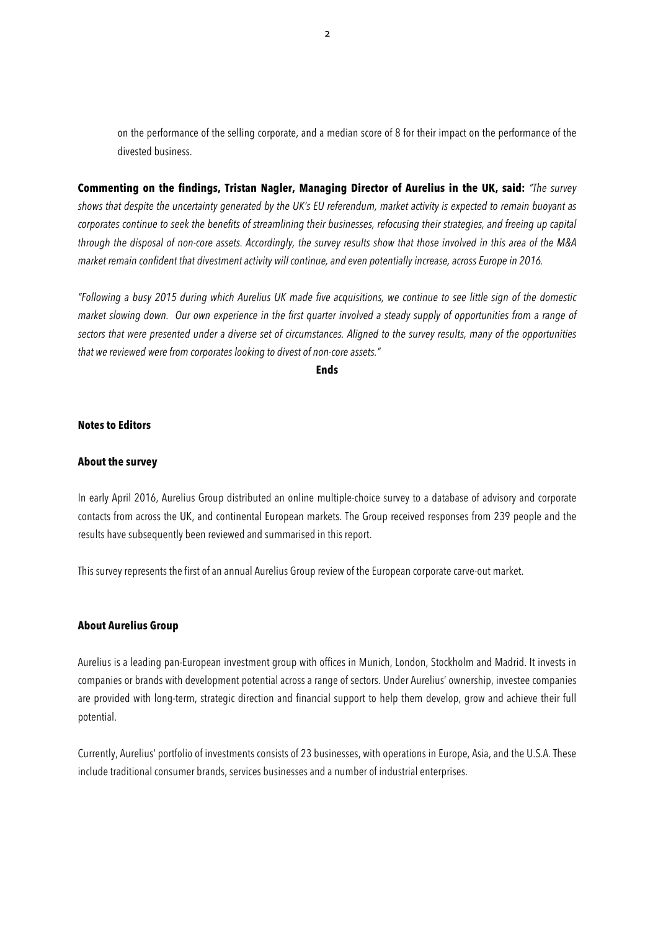on the performance of the selling corporate, and a median score of 8 for their impact on the performance of the divested business.

**Commenting on the findings, Tristan Nagler, Managing Director of Aurelius in the UK, said:** *"The survey shows that despite the uncertainty generated by the UK's EU referendum, market activity is expected to remain buoyant as corporates continue to seek the benefits of streamlining their businesses, refocusing their strategies, and freeing up capital through the disposal of non-core assets. Accordingly, the survey results show that those involved in this area of the M&A market remain confident that divestment activity will continue, and even potentially increase, across Europe in 2016.* 

*"Following a busy 2015 during which Aurelius UK made five acquisitions, we continue to see little sign of the domestic market slowing down. Our own experience in the first quarter involved a steady supply of opportunities from a range of sectors that were presented under a diverse set of circumstances. Aligned to the survey results, many of the opportunities that we reviewed were from corporates looking to divest of non-core assets."* 

**Ends**

#### **Notes to Editors**

### **About the survey**

In early April 2016, Aurelius Group distributed an online multiple-choice survey to a database of advisory and corporate contacts from across the UK, and continental European markets. The Group received responses from 239 people and the results have subsequently been reviewed and summarised in this report.

This survey represents the first of an annual Aurelius Group review of the European corporate carve-out market.

## **About Aurelius Group**

Aurelius is a leading pan-European investment group with offices in Munich, London, Stockholm and Madrid. It invests in companies or brands with development potential across a range of sectors. Under Aurelius' ownership, investee companies are provided with long-term, strategic direction and financial support to help them develop, grow and achieve their full potential.

Currently, Aurelius' portfolio of investments consists of 23 businesses, with operations in Europe, Asia, and the U.S.A. These include traditional consumer brands, services businesses and a number of industrial enterprises.